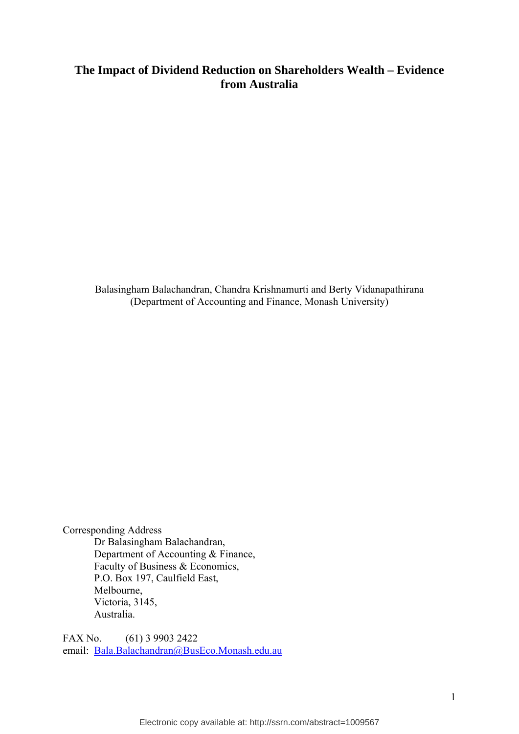# **The Impact of Dividend Reduction on Shareholders Wealth – Evidence from Australia**

Balasingham Balachandran, Chandra Krishnamurti and Berty Vidanapathirana (Department of Accounting and Finance, Monash University)

Corresponding Address Dr Balasingham Balachandran, Department of Accounting & Finance, Faculty of Business & Economics, P.O. Box 197, Caulfield East, Melbourne, Victoria, 3145, Australia.

FAX No. (61) 3 9903 2422 email: Bala.Balachandran@BusEco.Monash.edu.au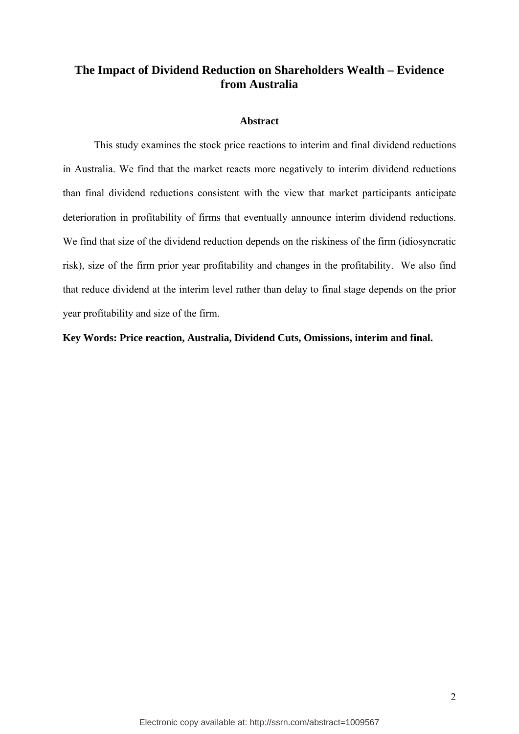## **The Impact of Dividend Reduction on Shareholders Wealth – Evidence from Australia**

## **Abstract**

This study examines the stock price reactions to interim and final dividend reductions in Australia. We find that the market reacts more negatively to interim dividend reductions than final dividend reductions consistent with the view that market participants anticipate deterioration in profitability of firms that eventually announce interim dividend reductions. We find that size of the dividend reduction depends on the riskiness of the firm (idiosyncratic risk), size of the firm prior year profitability and changes in the profitability. We also find that reduce dividend at the interim level rather than delay to final stage depends on the prior year profitability and size of the firm.

**Key Words: Price reaction, Australia, Dividend Cuts, Omissions, interim and final.**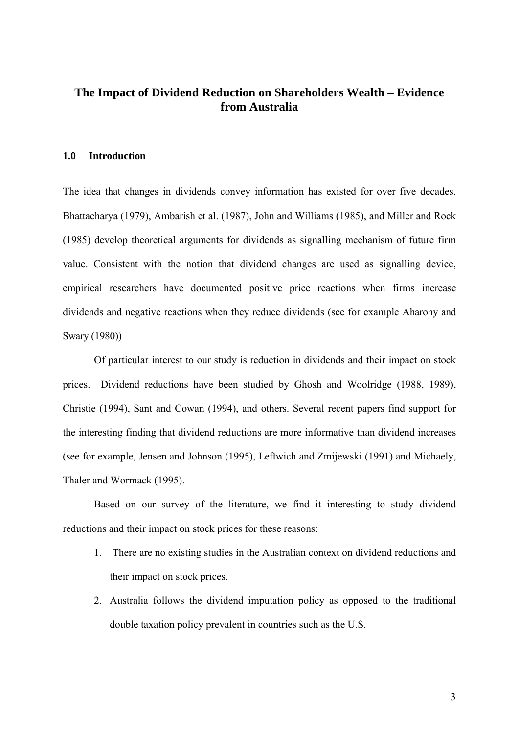## **The Impact of Dividend Reduction on Shareholders Wealth – Evidence from Australia**

#### **1.0 Introduction**

The idea that changes in dividends convey information has existed for over five decades. Bhattacharya (1979), Ambarish et al. (1987), John and Williams (1985), and Miller and Rock (1985) develop theoretical arguments for dividends as signalling mechanism of future firm value. Consistent with the notion that dividend changes are used as signalling device, empirical researchers have documented positive price reactions when firms increase dividends and negative reactions when they reduce dividends (see for example Aharony and Swary (1980))

 Of particular interest to our study is reduction in dividends and their impact on stock prices. Dividend reductions have been studied by Ghosh and Woolridge (1988, 1989), Christie (1994), Sant and Cowan (1994), and others. Several recent papers find support for the interesting finding that dividend reductions are more informative than dividend increases (see for example, Jensen and Johnson (1995), Leftwich and Zmijewski (1991) and Michaely, Thaler and Wormack (1995).

Based on our survey of the literature, we find it interesting to study dividend reductions and their impact on stock prices for these reasons:

- 1. There are no existing studies in the Australian context on dividend reductions and their impact on stock prices.
- 2. Australia follows the dividend imputation policy as opposed to the traditional double taxation policy prevalent in countries such as the U.S.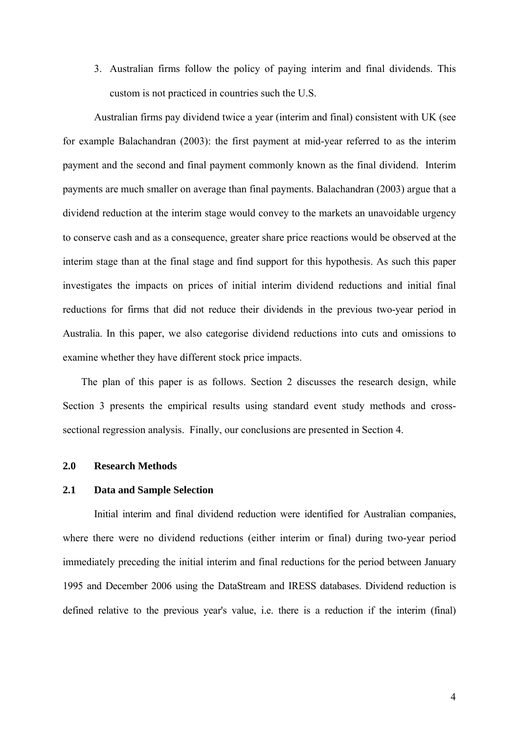3. Australian firms follow the policy of paying interim and final dividends. This custom is not practiced in countries such the U.S.

Australian firms pay dividend twice a year (interim and final) consistent with UK (see for example Balachandran (2003): the first payment at mid-year referred to as the interim payment and the second and final payment commonly known as the final dividend. Interim payments are much smaller on average than final payments. Balachandran (2003) argue that a dividend reduction at the interim stage would convey to the markets an unavoidable urgency to conserve cash and as a consequence, greater share price reactions would be observed at the interim stage than at the final stage and find support for this hypothesis. As such this paper investigates the impacts on prices of initial interim dividend reductions and initial final reductions for firms that did not reduce their dividends in the previous two-year period in Australia. In this paper, we also categorise dividend reductions into cuts and omissions to examine whether they have different stock price impacts.

The plan of this paper is as follows. Section 2 discusses the research design, while Section 3 presents the empirical results using standard event study methods and crosssectional regression analysis. Finally, our conclusions are presented in Section 4.

#### **2.0 Research Methods**

#### **2.1 Data and Sample Selection**

 Initial interim and final dividend reduction were identified for Australian companies, where there were no dividend reductions (either interim or final) during two-year period immediately preceding the initial interim and final reductions for the period between January 1995 and December 2006 using the DataStream and IRESS databases. Dividend reduction is defined relative to the previous year's value, i.e. there is a reduction if the interim (final)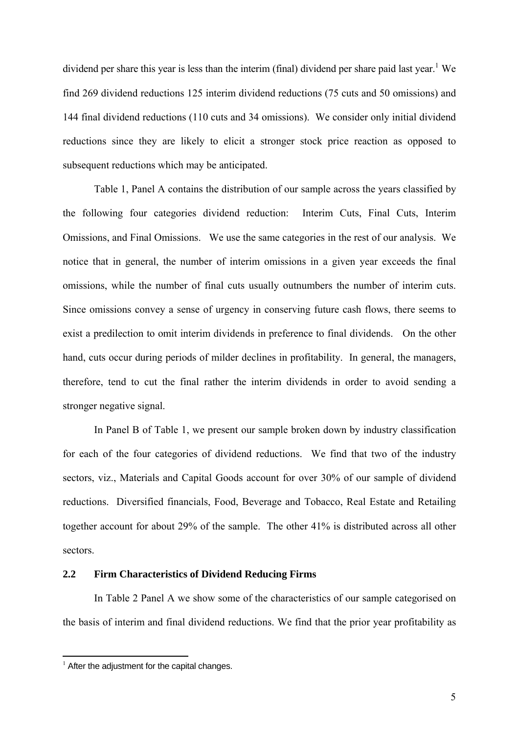dividend per share this year is less than the interim (final) dividend per share paid last year.<sup>1</sup> We find 269 dividend reductions 125 interim dividend reductions (75 cuts and 50 omissions) and 144 final dividend reductions (110 cuts and 34 omissions). We consider only initial dividend reductions since they are likely to elicit a stronger stock price reaction as opposed to subsequent reductions which may be anticipated.

 Table 1, Panel A contains the distribution of our sample across the years classified by the following four categories dividend reduction: Interim Cuts, Final Cuts, Interim Omissions, and Final Omissions. We use the same categories in the rest of our analysis. We notice that in general, the number of interim omissions in a given year exceeds the final omissions, while the number of final cuts usually outnumbers the number of interim cuts. Since omissions convey a sense of urgency in conserving future cash flows, there seems to exist a predilection to omit interim dividends in preference to final dividends. On the other hand, cuts occur during periods of milder declines in profitability. In general, the managers, therefore, tend to cut the final rather the interim dividends in order to avoid sending a stronger negative signal.

 In Panel B of Table 1, we present our sample broken down by industry classification for each of the four categories of dividend reductions. We find that two of the industry sectors, viz., Materials and Capital Goods account for over 30% of our sample of dividend reductions. Diversified financials, Food, Beverage and Tobacco, Real Estate and Retailing together account for about 29% of the sample. The other 41% is distributed across all other sectors.

## **2.2 Firm Characteristics of Dividend Reducing Firms**

 In Table 2 Panel A we show some of the characteristics of our sample categorised on the basis of interim and final dividend reductions. We find that the prior year profitability as

1

 $<sup>1</sup>$  After the adjustment for the capital changes.</sup>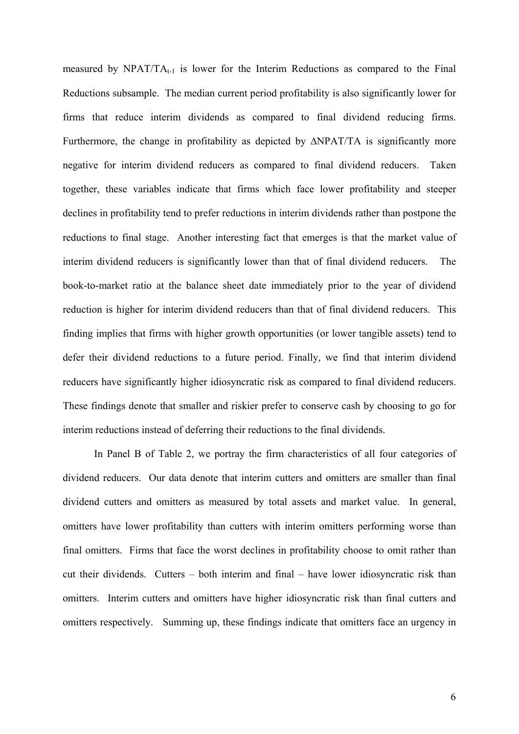measured by  $NPATH_{t-1}$  is lower for the Interim Reductions as compared to the Final Reductions subsample. The median current period profitability is also significantly lower for firms that reduce interim dividends as compared to final dividend reducing firms. Furthermore, the change in profitability as depicted by ∆NPAT/TA is significantly more negative for interim dividend reducers as compared to final dividend reducers. Taken together, these variables indicate that firms which face lower profitability and steeper declines in profitability tend to prefer reductions in interim dividends rather than postpone the reductions to final stage. Another interesting fact that emerges is that the market value of interim dividend reducers is significantly lower than that of final dividend reducers. The book-to-market ratio at the balance sheet date immediately prior to the year of dividend reduction is higher for interim dividend reducers than that of final dividend reducers. This finding implies that firms with higher growth opportunities (or lower tangible assets) tend to defer their dividend reductions to a future period. Finally, we find that interim dividend reducers have significantly higher idiosyncratic risk as compared to final dividend reducers. These findings denote that smaller and riskier prefer to conserve cash by choosing to go for interim reductions instead of deferring their reductions to the final dividends.

 In Panel B of Table 2, we portray the firm characteristics of all four categories of dividend reducers. Our data denote that interim cutters and omitters are smaller than final dividend cutters and omitters as measured by total assets and market value. In general, omitters have lower profitability than cutters with interim omitters performing worse than final omitters. Firms that face the worst declines in profitability choose to omit rather than cut their dividends. Cutters – both interim and final – have lower idiosyncratic risk than omitters. Interim cutters and omitters have higher idiosyncratic risk than final cutters and omitters respectively. Summing up, these findings indicate that omitters face an urgency in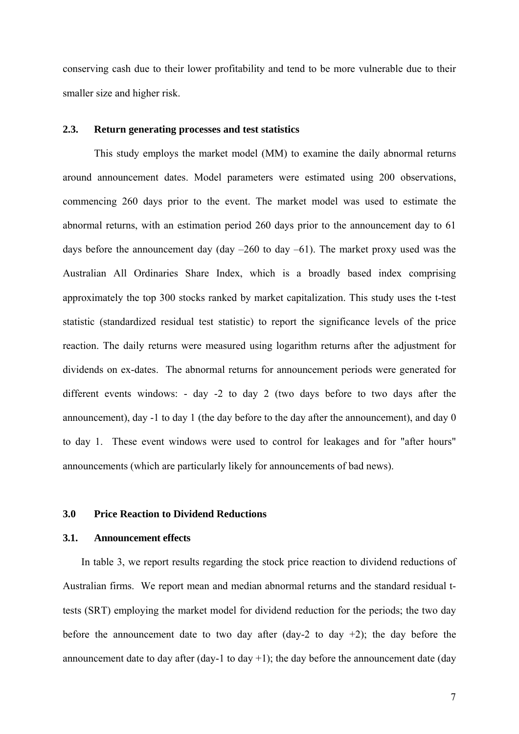conserving cash due to their lower profitability and tend to be more vulnerable due to their smaller size and higher risk.

## **2.3. Return generating processes and test statistics**

This study employs the market model (MM) to examine the daily abnormal returns around announcement dates. Model parameters were estimated using 200 observations, commencing 260 days prior to the event. The market model was used to estimate the abnormal returns, with an estimation period 260 days prior to the announcement day to 61 days before the announcement day (day  $-260$  to day  $-61$ ). The market proxy used was the Australian All Ordinaries Share Index, which is a broadly based index comprising approximately the top 300 stocks ranked by market capitalization. This study uses the t-test statistic (standardized residual test statistic) to report the significance levels of the price reaction. The daily returns were measured using logarithm returns after the adjustment for dividends on ex-dates. The abnormal returns for announcement periods were generated for different events windows: - day -2 to day 2 (two days before to two days after the announcement), day -1 to day 1 (the day before to the day after the announcement), and day 0 to day 1. These event windows were used to control for leakages and for "after hours" announcements (which are particularly likely for announcements of bad news).

## **3.0 Price Reaction to Dividend Reductions**

## **3.1. Announcement effects**

In table 3, we report results regarding the stock price reaction to dividend reductions of Australian firms. We report mean and median abnormal returns and the standard residual ttests (SRT) employing the market model for dividend reduction for the periods; the two day before the announcement date to two day after  $(\text{day-2})$  to day  $+2$ ); the day before the announcement date to day after  $(\text{day-1 to day +1})$ ; the day before the announcement date  $(\text{day -1 to day +1})$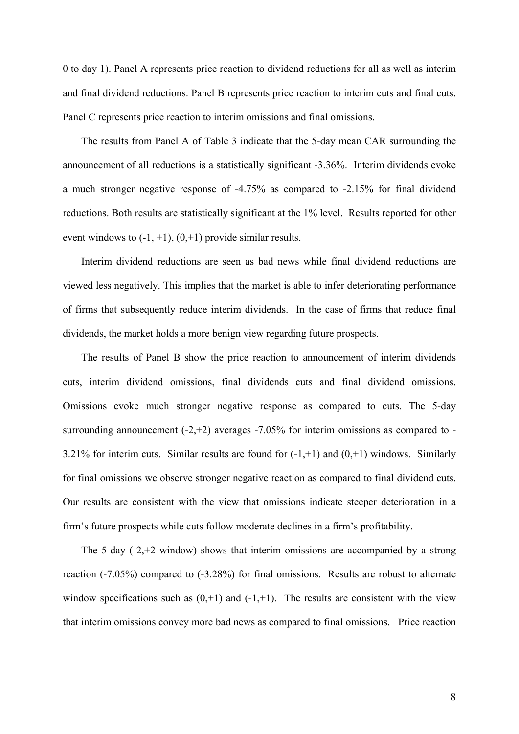0 to day 1). Panel A represents price reaction to dividend reductions for all as well as interim and final dividend reductions. Panel B represents price reaction to interim cuts and final cuts. Panel C represents price reaction to interim omissions and final omissions.

The results from Panel A of Table 3 indicate that the 5-day mean CAR surrounding the announcement of all reductions is a statistically significant -3.36%. Interim dividends evoke a much stronger negative response of -4.75% as compared to -2.15% for final dividend reductions. Both results are statistically significant at the 1% level. Results reported for other event windows to  $(-1, +1)$ ,  $(0, +1)$  provide similar results.

Interim dividend reductions are seen as bad news while final dividend reductions are viewed less negatively. This implies that the market is able to infer deteriorating performance of firms that subsequently reduce interim dividends. In the case of firms that reduce final dividends, the market holds a more benign view regarding future prospects.

The results of Panel B show the price reaction to announcement of interim dividends cuts, interim dividend omissions, final dividends cuts and final dividend omissions. Omissions evoke much stronger negative response as compared to cuts. The 5-day surrounding announcement  $(-2, +2)$  averages  $-7.05\%$  for interim omissions as compared to -3.21% for interim cuts. Similar results are found for  $(-1, +1)$  and  $(0, +1)$  windows. Similarly for final omissions we observe stronger negative reaction as compared to final dividend cuts. Our results are consistent with the view that omissions indicate steeper deterioration in a firm's future prospects while cuts follow moderate declines in a firm's profitability.

The 5-day  $(-2, +2, +2)$  window) shows that interim omissions are accompanied by a strong reaction (-7.05%) compared to (-3.28%) for final omissions. Results are robust to alternate window specifications such as  $(0, +1)$  and  $(-1, +1)$ . The results are consistent with the view that interim omissions convey more bad news as compared to final omissions. Price reaction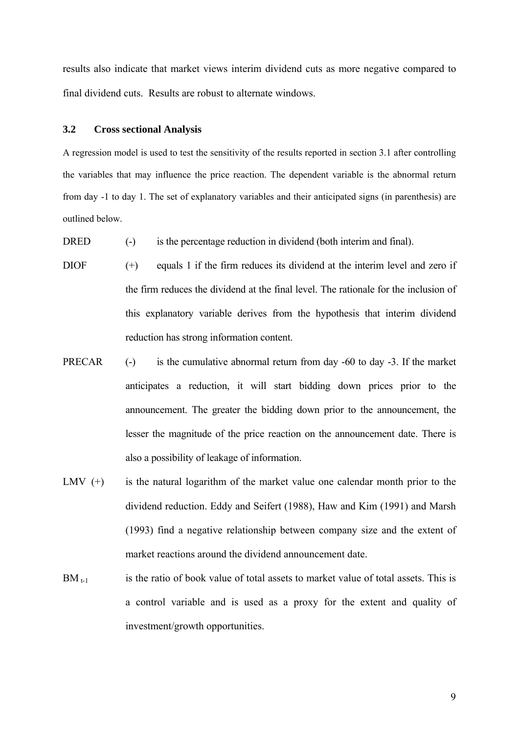results also indicate that market views interim dividend cuts as more negative compared to final dividend cuts. Results are robust to alternate windows.

#### **3.2 Cross sectional Analysis**

A regression model is used to test the sensitivity of the results reported in section 3.1 after controlling the variables that may influence the price reaction. The dependent variable is the abnormal return from day -1 to day 1. The set of explanatory variables and their anticipated signs (in parenthesis) are outlined below.

- DRED (-) is the percentage reduction in dividend (both interim and final).
- DIOF (+) equals 1 if the firm reduces its dividend at the interim level and zero if the firm reduces the dividend at the final level. The rationale for the inclusion of this explanatory variable derives from the hypothesis that interim dividend reduction has strong information content.
- PRECAR (-) is the cumulative abnormal return from day -60 to day -3. If the market anticipates a reduction, it will start bidding down prices prior to the announcement. The greater the bidding down prior to the announcement, the lesser the magnitude of the price reaction on the announcement date. There is also a possibility of leakage of information.
- LMV  $(+)$  is the natural logarithm of the market value one calendar month prior to the dividend reduction. Eddy and Seifert (1988), Haw and Kim (1991) and Marsh (1993) find a negative relationship between company size and the extent of market reactions around the dividend announcement date.
- $BM_{t-1}$  is the ratio of book value of total assets to market value of total assets. This is a control variable and is used as a proxy for the extent and quality of investment/growth opportunities.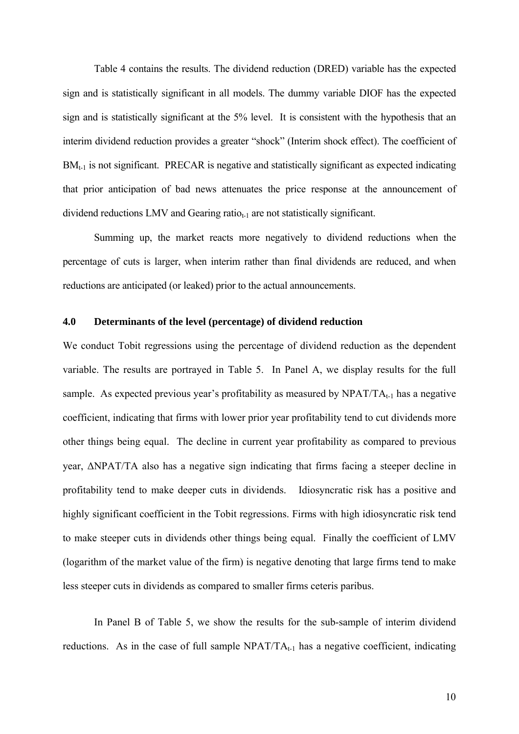Table 4 contains the results. The dividend reduction (DRED) variable has the expected sign and is statistically significant in all models. The dummy variable DIOF has the expected sign and is statistically significant at the 5% level. It is consistent with the hypothesis that an interim dividend reduction provides a greater "shock" (Interim shock effect). The coefficient of  $BM_{t-1}$  is not significant. PRECAR is negative and statistically significant as expected indicating that prior anticipation of bad news attenuates the price response at the announcement of dividend reductions LMV and Gearing ratio $_{t-1}$  are not statistically significant.

Summing up, the market reacts more negatively to dividend reductions when the percentage of cuts is larger, when interim rather than final dividends are reduced, and when reductions are anticipated (or leaked) prior to the actual announcements.

## **4.0 Determinants of the level (percentage) of dividend reduction**

We conduct Tobit regressions using the percentage of dividend reduction as the dependent variable. The results are portrayed in Table 5. In Panel A, we display results for the full sample. As expected previous year's profitability as measured by  $NPATH_{t-1}$  has a negative coefficient, indicating that firms with lower prior year profitability tend to cut dividends more other things being equal. The decline in current year profitability as compared to previous year, ΔNPAT/TA also has a negative sign indicating that firms facing a steeper decline in profitability tend to make deeper cuts in dividends. Idiosyncratic risk has a positive and highly significant coefficient in the Tobit regressions. Firms with high idiosyncratic risk tend to make steeper cuts in dividends other things being equal. Finally the coefficient of LMV (logarithm of the market value of the firm) is negative denoting that large firms tend to make less steeper cuts in dividends as compared to smaller firms ceteris paribus.

 In Panel B of Table 5, we show the results for the sub-sample of interim dividend reductions. As in the case of full sample  $NPATH_{t-1}$  has a negative coefficient, indicating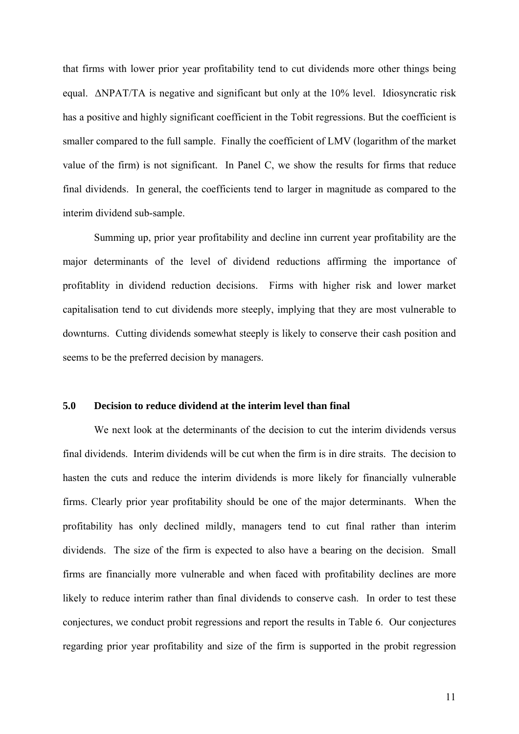that firms with lower prior year profitability tend to cut dividends more other things being equal. ΔNPAT/TA is negative and significant but only at the 10% level. Idiosyncratic risk has a positive and highly significant coefficient in the Tobit regressions. But the coefficient is smaller compared to the full sample. Finally the coefficient of LMV (logarithm of the market value of the firm) is not significant. In Panel C, we show the results for firms that reduce final dividends. In general, the coefficients tend to larger in magnitude as compared to the interim dividend sub-sample.

 Summing up, prior year profitability and decline inn current year profitability are the major determinants of the level of dividend reductions affirming the importance of profitablity in dividend reduction decisions. Firms with higher risk and lower market capitalisation tend to cut dividends more steeply, implying that they are most vulnerable to downturns. Cutting dividends somewhat steeply is likely to conserve their cash position and seems to be the preferred decision by managers.

#### **5.0 Decision to reduce dividend at the interim level than final**

 We next look at the determinants of the decision to cut the interim dividends versus final dividends. Interim dividends will be cut when the firm is in dire straits. The decision to hasten the cuts and reduce the interim dividends is more likely for financially vulnerable firms. Clearly prior year profitability should be one of the major determinants. When the profitability has only declined mildly, managers tend to cut final rather than interim dividends. The size of the firm is expected to also have a bearing on the decision. Small firms are financially more vulnerable and when faced with profitability declines are more likely to reduce interim rather than final dividends to conserve cash. In order to test these conjectures, we conduct probit regressions and report the results in Table 6. Our conjectures regarding prior year profitability and size of the firm is supported in the probit regression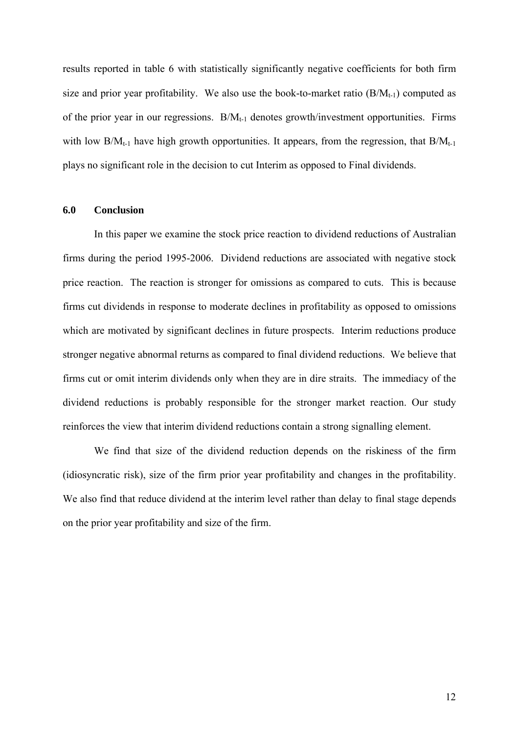results reported in table 6 with statistically significantly negative coefficients for both firm size and prior year profitability. We also use the book-to-market ratio  $(B/M_{t-1})$  computed as of the prior year in our regressions.  $B/M_{t-1}$  denotes growth/investment opportunities. Firms with low  $B/M_{t-1}$  have high growth opportunities. It appears, from the regression, that  $B/M_{t-1}$ plays no significant role in the decision to cut Interim as opposed to Final dividends.

#### **6.0 Conclusion**

In this paper we examine the stock price reaction to dividend reductions of Australian firms during the period 1995-2006. Dividend reductions are associated with negative stock price reaction. The reaction is stronger for omissions as compared to cuts. This is because firms cut dividends in response to moderate declines in profitability as opposed to omissions which are motivated by significant declines in future prospects. Interim reductions produce stronger negative abnormal returns as compared to final dividend reductions. We believe that firms cut or omit interim dividends only when they are in dire straits. The immediacy of the dividend reductions is probably responsible for the stronger market reaction. Our study reinforces the view that interim dividend reductions contain a strong signalling element.

We find that size of the dividend reduction depends on the riskiness of the firm (idiosyncratic risk), size of the firm prior year profitability and changes in the profitability. We also find that reduce dividend at the interim level rather than delay to final stage depends on the prior year profitability and size of the firm.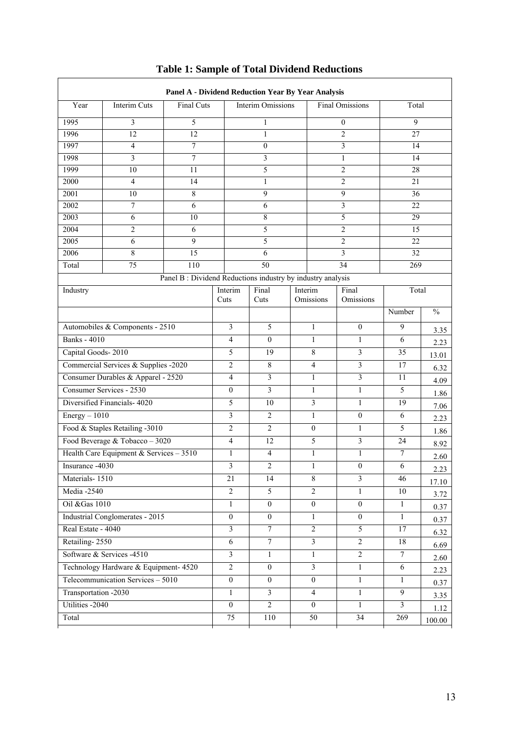| Year                                  | Interim Cuts<br>Final Cuts               |                                                            |                         | Interim Omissions |         |                         | <b>Final Omissions</b> | Total           |               |
|---------------------------------------|------------------------------------------|------------------------------------------------------------|-------------------------|-------------------|---------|-------------------------|------------------------|-----------------|---------------|
| 1995                                  | 3                                        | 5                                                          |                         | 1                 |         |                         | 0                      | 9               |               |
| 1996                                  | 12                                       | 12                                                         |                         | $\mathbf{1}$      |         | $\overline{c}$          |                        | 27              |               |
| 1997                                  | $\overline{4}$                           | 7                                                          |                         | $\mathbf{0}$      |         | 3                       |                        | 14              |               |
| 1998                                  | 3<br>$\tau$                              |                                                            |                         | 3                 |         |                         | $\mathbf{1}$           | 14              |               |
| 1999                                  | 10                                       | 11                                                         |                         | 5                 |         |                         | 2                      | 28              |               |
| 2000                                  | $\overline{4}$                           | 14                                                         |                         | 1                 |         |                         | 2                      | 21              |               |
| 2001                                  | 10                                       | 8                                                          |                         | 9                 |         |                         | 9                      | 36              |               |
| 2002                                  | $\overline{7}$                           | 6                                                          |                         | 6                 |         |                         | 3                      | 22              |               |
| 2003                                  | 6                                        | 10                                                         |                         | 8                 |         |                         | 5                      | 29              |               |
| 2004                                  | 2                                        | 6                                                          |                         | 5                 |         |                         | $\overline{c}$         | 15              |               |
| 2005                                  | 6                                        | 9                                                          |                         | 5                 |         |                         | $\overline{c}$         | 22              |               |
| 2006<br>Total                         | $\,8\,$<br>$\overline{75}$               | 15<br>110                                                  |                         | 6<br>50           |         |                         | 3<br>34                | 32<br>269       |               |
|                                       |                                          | Panel B: Dividend Reductions industry by industry analysis |                         |                   |         |                         |                        |                 |               |
| Industry                              |                                          |                                                            | Interim                 | Final             | Interim |                         | Final                  | Total           |               |
|                                       |                                          |                                                            | Cuts                    | Cuts              |         | Omissions               | Omissions              | Number          | $\frac{0}{0}$ |
|                                       | Automobiles & Components - 2510          |                                                            | $\mathfrak{Z}$          | 5                 |         | $\mathbf{1}$            | $\mathbf{0}$           | 9               | 3.35          |
| <b>Banks</b> - 4010                   |                                          |                                                            |                         | $\mathbf{0}$      |         | $\mathbf{1}$            | $\mathbf{1}$           | 6               | 2.23          |
| Capital Goods-2010                    |                                          |                                                            | 5                       | 19                |         | 8                       | 3                      | 35              | 13.01         |
|                                       | Commercial Services & Supplies -2020     |                                                            | $\overline{2}$          | 8                 |         | 4                       | $\mathfrak{Z}$         | 17              | 6.32          |
|                                       | Consumer Durables & Apparel - 2520       |                                                            | $\overline{4}$          | 3                 |         | $\mathbf{1}$            | $\overline{3}$         | 11              | 4.09          |
|                                       | Consumer Services - 2530                 |                                                            | $\mathbf{0}$            | 3                 |         | 1                       | 1                      | 5               | 1.86          |
|                                       | Diversified Financials- 4020             |                                                            | 5                       | 10                |         | 3                       | $\mathbf{1}$           | 19              | 7.06          |
| $Energy - 1010$                       |                                          |                                                            | $\overline{\mathbf{3}}$ | $\overline{2}$    |         | $\mathbf{1}$            | $\mathbf{0}$           | 6               | 2.23          |
|                                       | Food & Staples Retailing -3010           |                                                            | $\overline{2}$          | $\overline{c}$    |         | $\boldsymbol{0}$        | 1                      | 5               | 1.86          |
|                                       | Food Beverage & Tobacco - 3020           |                                                            | $\overline{4}$          | 12                |         | 5                       | $\mathfrak{Z}$         | 24              | 8.92          |
|                                       | Health Care Equipment & Services $-3510$ |                                                            | $\mathbf{1}$            | $\overline{4}$    |         | $\mathbf{1}$            | 1                      | $7\phantom{.0}$ | 2.60          |
| Insurance -4030                       |                                          |                                                            | 3                       | $\overline{2}$    |         | $\mathbf{1}$            | $\mathbf{0}$           | 6               | 2.23          |
| Materials-1510                        |                                          |                                                            | 21                      | 14                |         | 8                       | $\mathfrak{Z}$         | 46              | 17.10         |
| Media -2540                           |                                          |                                                            | $\overline{2}$          | 5                 |         | $\overline{2}$          | $\mathbf{1}$           | 10              | 3.72          |
| Oil & Gas 1010                        |                                          |                                                            | $\mathbf{1}$            | $\boldsymbol{0}$  |         | $\overline{0}$          | $\overline{0}$         | $\mathbf{1}$    | 0.37          |
|                                       | Industrial Conglomerates - 2015          |                                                            | $\bf{0}$                | $\overline{0}$    |         | $\mathbf{1}$            | $\mathbf{0}$           | $\mathbf{1}$    | 0.37          |
| Real Estate - 4040                    |                                          |                                                            | $\overline{\mathbf{3}}$ | $\boldsymbol{7}$  |         | $\overline{2}$          | $\overline{5}$         | 17              | 6.32          |
| Retailing-2550                        |                                          |                                                            | 6                       | $\overline{7}$    |         | 3                       | $\overline{2}$         | 18              | 6.69          |
|                                       | Software & Services -4510                |                                                            | $\mathfrak{Z}$          | 1                 |         | $\mathbf{1}$            | $\overline{2}$         | $\tau$          | 2.60          |
| Technology Hardware & Equipment- 4520 |                                          |                                                            | $\overline{2}$          | $\mathbf{0}$      |         | $\overline{\mathbf{3}}$ | $\mathbf{1}$           | 6               | 2.23          |
| Telecommunication Services - 5010     |                                          |                                                            | $\boldsymbol{0}$        | $\boldsymbol{0}$  |         | $\boldsymbol{0}$        | $\mathbf{1}$           | 1               | 0.37          |
| Transportation -2030                  |                                          |                                                            | $\mathbf{1}$            | $\mathfrak{Z}$    |         | $\overline{4}$          | $\mathbf{1}$           | 9               | 3.35          |
| Utilities -2040                       |                                          |                                                            | $\mathbf{0}$            | $\overline{2}$    |         | $\overline{0}$          | $\mathbf{1}$           | $\overline{3}$  | 1.12          |
| Total                                 |                                          |                                                            | 75                      | 110               |         | 50                      | $\overline{34}$        | 269             | 100.00        |

# **Table 1: Sample of Total Dividend Reductions**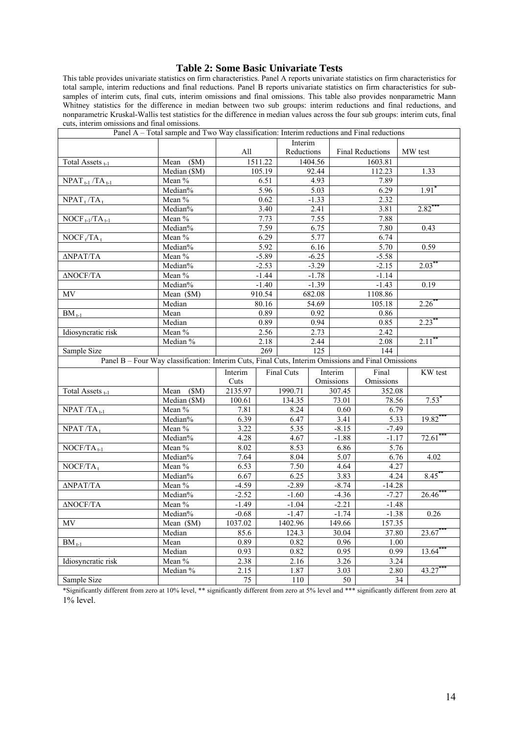## **Table 2: Some Basic Univariate Tests**

This table provides univariate statistics on firm characteristics. Panel A reports univariate statistics on firm characteristics for total sample, interim reductions and final reductions. Panel B reports univariate statistics on firm characteristics for subsamples of interim cuts, final cuts, interim omissions and final omissions. This table also provides nonparametric Mann Whitney statistics for the difference in median between two sub groups: interim reductions and final reductions, and nonparametric Kruskal-Wallis test statistics for the difference in median values across the four sub groups: interim cuts, final nonparametric Kruskal-Wallis test statistics for the difference in median values across the f cuts, interim omissions and final omissions.

|                                                           | Panel A – Total sample and Two Way classification: Interim reductions and Final reductions         |                 |         |            |         |                    |                         |    |           |
|-----------------------------------------------------------|----------------------------------------------------------------------------------------------------|-----------------|---------|------------|---------|--------------------|-------------------------|----|-----------|
|                                                           |                                                                                                    |                 |         | Interim    |         |                    |                         |    |           |
|                                                           |                                                                                                    | All             |         | Reductions |         |                    | <b>Final Reductions</b> |    | MW test   |
| Total Assets <sub>t-1</sub>                               | Mean (\$M)                                                                                         | 1511.22         |         | 1404.56    |         | 1603.81            |                         |    |           |
|                                                           | Median (\$M)                                                                                       | 105.19          |         |            | 92.44   | 112.23             |                         |    | 1.33      |
| $NPATH_{t-1} / TA_{t-1}$                                  | Mean %                                                                                             |                 | 6.51    |            | 4.93    |                    | 7.89                    |    |           |
|                                                           | Median%                                                                                            |                 | 5.96    |            | 5.03    | 6.29               |                         |    | $1.91*$   |
| $NPATH_t/TA_t$                                            | Mean %                                                                                             |                 | 0.62    |            | $-1.33$ |                    | 2.32                    |    |           |
|                                                           | Median%                                                                                            | 3.40            |         |            | 2.41    |                    | 3.81                    |    | 2.82      |
| $\overline{\text{NOCF}}_{t-1}/\overline{\text{TA}}_{t-1}$ | Mean %                                                                                             |                 | 7.73    |            | 7.55    |                    | 7.88                    |    |           |
|                                                           | Median%                                                                                            |                 | 7.59    |            | 6.75    |                    | 7.80                    |    | 0.43      |
| $\overline{\text{NOCF}_t/\text{TA}_1}$                    | Mean %                                                                                             |                 | 6.29    |            | 5.77    |                    | 6.74                    |    |           |
|                                                           | Median%                                                                                            |                 | 5.92    |            | 6.16    |                    | 5.70                    |    | 0.59      |
| ΔΝΡΑΤ/ΤΑ                                                  | Mean $\sqrt[6]{\cdot}$                                                                             |                 | $-5.89$ |            | $-6.25$ |                    | $-5.58$                 |    |           |
|                                                           | Median%                                                                                            |                 | $-2.53$ |            | $-3.29$ |                    | $-2.15$                 |    | 2.03      |
| ΔNOCF/TA                                                  | Mean %                                                                                             |                 | $-1.44$ | $-1.78$    |         | $-1.14$            |                         |    |           |
|                                                           | Median%                                                                                            |                 | $-1.40$ |            | $-1.39$ | $-1.43$            |                         |    | 0.19      |
| MV                                                        | Mean (\$M)                                                                                         | 910.54          |         |            | 682.08  | 1108.86            |                         |    |           |
|                                                           | Median                                                                                             |                 | 80.16   |            | 54.69   |                    | 105.18                  |    | 2.26      |
| $BM_{t-1}$                                                | Mean                                                                                               |                 | 0.89    |            | 0.92    | 0.86               |                         |    |           |
|                                                           | Median                                                                                             |                 | 0.89    |            | 0.94    |                    | 0.85                    |    | $2.23***$ |
| Idiosyncratic risk                                        | Mean %                                                                                             |                 | 2.56    |            | 2.73    |                    | 2.42                    |    |           |
|                                                           | Median %                                                                                           |                 | 2.18    | 2.44       |         |                    | 2.08                    |    | $2.11^*$  |
| Sample Size                                               |                                                                                                    | 269             |         | 125        |         |                    | 144                     |    |           |
|                                                           | Panel B - Four Way classification: Interim Cuts, Final Cuts, Interim Omissions and Final Omissions |                 |         |            |         |                    |                         |    |           |
|                                                           |                                                                                                    | Interim         |         | Final Cuts |         | Interim<br>Final   |                         |    | KW test   |
|                                                           |                                                                                                    | Cuts            |         |            |         | Omissions          | Omissions               |    |           |
| Total Assets <sub>t-1</sub>                               | Mean (\$M)                                                                                         | 2135.97         |         | 1990.71    |         | 307.45             | 352.08                  |    |           |
|                                                           | Median (\$M)                                                                                       | 100.61          |         | 134.35     |         | 73.01              | 78.56                   |    | 7.53      |
| $NPATH / TA$ <sub>t-1</sub>                               | Mean %                                                                                             | 7.81            |         | 8.24       |         | 0.60               | 6.79                    |    |           |
|                                                           | Median%                                                                                            | 6.39            |         | 6.47       |         | 3.41               | 5.33                    |    | 19.82     |
| $NPATH / TA_t$                                            | Mean %                                                                                             | 3.22            |         | 5.35       |         | $-8.15$            | $-7.49$                 |    |           |
|                                                           | Median%                                                                                            | 4.28            |         | 4.67       |         | $-1.88$<br>$-1.17$ |                         |    | 72.61     |
| $NOCF/TA_{t-1}$                                           | Mean %                                                                                             | 8.02            |         | 8.53       |         | 6.86               | 5.76                    |    |           |
|                                                           | Median%                                                                                            | 7.64            |         | 8.04       |         | 5.07               | 6.76                    |    | 4.02      |
| $NOCF/TA$ <sub>t</sub>                                    | Mean %                                                                                             | 6.53            |         | 7.50       |         | 4.64               | 4.27                    |    |           |
|                                                           | Median%                                                                                            | 6.67            |         | 6.25       |         | 3.83               | 4.24                    |    | 8.45      |
| ΔΝΡΑΤ/ΤΑ                                                  | Mean %                                                                                             | $-4.59$         |         | $-2.89$    |         | $-8.74$            | $-14.28$                |    |           |
|                                                           | Median%                                                                                            | $-2.52$         |         | $-1.60$    |         | $-4.36$            | $-7.27$                 |    | 26.46     |
| ΔNOCF/TA                                                  | Mean %                                                                                             | $-1.49$         |         | $-1.04$    |         | $-2.21$            | $-1.48$                 |    |           |
|                                                           | Median%                                                                                            | $-0.68$         |         | $-1.47$    |         | $-1.74$            | $-1.38$                 |    | 0.26      |
| MV                                                        | Mean (\$M)                                                                                         | 1037.02         |         | 1402.96    |         | 149.66             | 157.35                  |    |           |
|                                                           | Median                                                                                             | 85.6            |         | 124.3      |         | 30.04              | 37.80                   |    | 23.67     |
| $BM_{t-1}$                                                | Mean                                                                                               | 0.89            |         | 0.82       |         | 0.96               | 1.00                    |    |           |
|                                                           | Median                                                                                             | 0.93            |         | 0.82       |         | 0.95               | 0.99                    |    | 13.64     |
| Idiosyncratic risk                                        | Mean %                                                                                             | 2.38            |         | 2.16       |         | 3.26               | 3.24                    |    |           |
|                                                           | Median %                                                                                           | 2.15            |         | 1.87       |         | 3.03               | 2.80                    |    | 43.27     |
| Sample Size                                               |                                                                                                    | $\overline{75}$ |         | 110        |         | 50                 |                         | 34 |           |

\*Significantly different from zero at 10% level, \*\* significantly different from zero at 5% level and \*\*\* significantly different from zero at 1% level.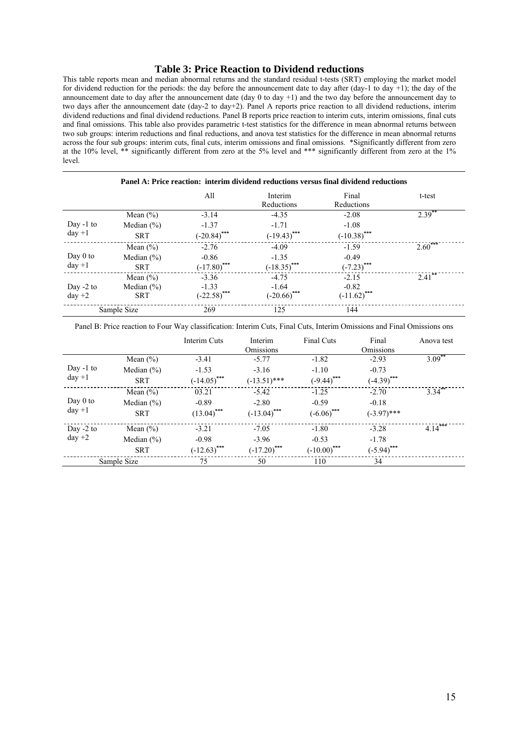#### **Table 3: Price Reaction to Dividend reductions**

This table reports mean and median abnormal returns and the standard residual t-tests (SRT) employing the market model for dividend reduction for the periods: the day before the announcement date to day after (day-1 to day +1); the day of the announcement date to day after the announcement date (day 0 to day +1) and the two day before the announcement day to two days after the announcement date (day-2 to day+2). Panel A reports price reaction to all dividend reductions, interim dividend reductions and final dividend reductions. Panel B reports price reaction to interim cuts, interim omissions, final cuts and final omissions. This table also provides parametric t-test statistics for the difference in mean abnormal returns between two sub groups: interim reductions and final reductions, and anova test statistics for the difference in mean abnormal returns across the four sub groups: interim cuts, final cuts, interim omissions and final omissions. \*Significantly different from zero at the 10% level, \*\* significantly different from zero at the 5% level and \*\*\* significantly different from zero at the 1% level.

| Panel A: Price reaction: interim dividend reductions versus final dividend reductions |                |                |                       |                     |           |  |  |  |  |
|---------------------------------------------------------------------------------------|----------------|----------------|-----------------------|---------------------|-----------|--|--|--|--|
|                                                                                       |                | All            | Interim<br>Reductions | Final<br>Reductions | t-test    |  |  |  |  |
|                                                                                       | Mean $(\% )$   | $-3.14$        | $-4.35$               | $-2.08$             | $2.39***$ |  |  |  |  |
| Day $-1$ to<br>$day +1$                                                               | Median $(\% )$ | $-1.37$        | $-1.71$               | $-1.08$             |           |  |  |  |  |
|                                                                                       | <b>SRT</b>     | $(-20.84)$ *** | $(-19.43)$ ***        | $(-10.38)$ ***      |           |  |  |  |  |
|                                                                                       | Mean $(\% )$   | $-2.76$        | $-4.09$               | $-1.59$             | $2.60***$ |  |  |  |  |
| Day $0$ to                                                                            | Median $(\% )$ | $-0.86$        | $-1.35$               | $-0.49$             |           |  |  |  |  |
| $day +1$                                                                              | <b>SRT</b>     | $(-17.80)$ *** | $(-18.35)$ ***        | $(-7.23)$ ***       |           |  |  |  |  |
|                                                                                       | Mean $(\% )$   | $-3.36$        | $-4.75$               | $-2.15$             | 2.41      |  |  |  |  |
| Day $-2$ to                                                                           | Median $(\% )$ | $-1.33$        | $-1.64$               | $-0.82$             |           |  |  |  |  |
| $day +2$                                                                              | <b>SRT</b>     | $(-22.58)$ *** | $(-20.66)$ ***        | $(-11.62)$ ***      |           |  |  |  |  |
|                                                                                       | Sample Size    | 269            | 125                   | 144                 |           |  |  |  |  |

Panel B: Price reaction to Four Way classification: Interim Cuts, Final Cuts, Interim Omissions and Final Omissions ons

|             |                | Interim Cuts   | Interim<br><b>Omissions</b> | <b>Final Cuts</b> | Final<br><b>Omissions</b> | Anova test |
|-------------|----------------|----------------|-----------------------------|-------------------|---------------------------|------------|
|             | Mean $(\% )$   | $-3.41$        | $-5.77$                     | $-1.82$           | $-2.93$                   | $3.09$ **  |
| Day $-1$ to | Median $(\% )$ | $-1.53$        | $-3.16$                     | $-1.10$           | $-0.73$                   |            |
| $day +1$    | <b>SRT</b>     | $(-14.05)$ *** | $(-13.51)$ ***              | $(-9.44)$ ***     | $(-4.39)$ ***             |            |
|             | Mean $(\% )$   | 03.21          | $-5.42$                     | $-1.25$           | $-2.70$                   | 3.34       |
| Day $0$ to  | Median $(\% )$ | $-0.89$        | $-2.80$                     | $-0.59$           | $-0.18$                   |            |
| $day +1$    | <b>SRT</b>     | $(13.04)$ ***  | $(-13.04)$ ***              | $(-6.06)$ ***     | $(-3.97)$ ***             |            |
| Day $-2$ to | Mean $(\% )$   | $-3.21$        | $-7.05$                     | $-1.80$           | $-3.28$                   | $4.14***$  |
| $day +2$    | Median $(\% )$ | $-0.98$        | $-3.96$                     | $-0.53$           | $-1.78$                   |            |
|             | <b>SRT</b>     | $(-12.63)$ *** | $(-17.20)$ ***              | $(-10.00)$ ***    | $(-5.94)$ ***             |            |
|             | Sample Size    | 75             | 50                          | 110               | 34                        |            |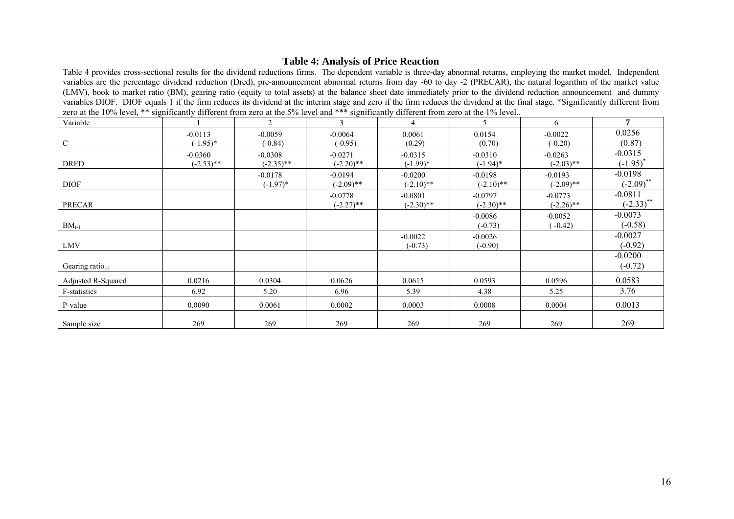## **Table 4: Analysis of Price Reaction**

Table 4 provides cross-sectional results for the dividend reductions firms. The dependent variable is three-day abnormal returns, employing the market model. Independent variables are the percentage dividend reduction (Dred), pre-announcement abnormal returns from day -60 to day -2 (PRECAR), the natural logarithm of the market value (LMV), book to market ratio (BM), gearing ratio (equity to total assets) at the balance sheet date immediately prior to the dividend reduction announcement and dummy variables DIOF. DIOF equals 1 if the firm reduces its dividend at the interim stage and zero if the firm reduces the dividend at the final stage. \*Significantly different from zero at the 10% level, \*\* significantly different from zero at the 5% level and \*\*\* significantly different from zero at the 1% level..

| Variable               |                           | $\overline{2}$            | $\mathcal{E}$             | $\overline{4}$            | 5                         | 6                         | 7                          |
|------------------------|---------------------------|---------------------------|---------------------------|---------------------------|---------------------------|---------------------------|----------------------------|
| $\mathsf{C}$           | $-0.0113$<br>$(-1.95)^*$  | $-0.0059$<br>$(-0.84)$    | $-0.0064$<br>$(-0.95)$    | 0.0061<br>(0.29)          | 0.0154<br>(0.70)          | $-0.0022$<br>$(-0.20)$    | 0.0256<br>(0.87)           |
| <b>DRED</b>            | $-0.0360$<br>$(-2.53)$ ** | $-0.0308$<br>$(-2.35)$ ** | $-0.0271$<br>$(-2.20)$ ** | $-0.0315$<br>$(-1.99)$ *  | $-0.0310$<br>$(-1.94)^*$  | $-0.0263$<br>$(-2.03)$ ** | $-0.0315$<br>$(-1.95)^{4}$ |
| <b>DIOF</b>            |                           | $-0.0178$<br>$(-1.97)^*$  | $-0.0194$<br>$(-2.09)$ ** | $-0.0200$<br>$(-2.10)$ ** | $-0.0198$<br>$(-2.10)$ ** | $-0.0193$<br>$(-2.09)$ ** | $-0.0198$<br>$(-2.09)$ **  |
| <b>PRECAR</b>          |                           |                           | $-0.0778$<br>$(-2.27)$ ** | $-0.0801$<br>$(-2.30)$ ** | $-0.0797$<br>$(-2.30)$ ** | $-0.0773$<br>$(-2.26)$ ** | $-0.0811$<br>$(-2.33)$ **  |
| $BM_{t-1}$             |                           |                           |                           |                           | $-0.0086$<br>$(-0.73)$    | $-0.0052$<br>$(-0.42)$    | $-0.0073$<br>$(-0.58)$     |
| <b>LMV</b>             |                           |                           |                           | $-0.0022$<br>$(-0.73)$    | $-0.0026$<br>$(-0.90)$    |                           | $-0.0027$<br>$(-0.92)$     |
| Gearing ratio $_{t-1}$ |                           |                           |                           |                           |                           |                           | $-0.0200$<br>$(-0.72)$     |
| Adjusted R-Squared     | 0.0216                    | 0.0304                    | 0.0626                    | 0.0615                    | 0.0593                    | 0.0596                    | 0.0583                     |
| F-statistics           | 6.92                      | 5.20                      | 6.96                      | 5.39                      | 4.38                      | 5.25                      | 3.76                       |
| P-value                | 0.0090                    | 0.0061                    | 0.0002                    | 0.0003                    | 0.0008                    | 0.0004                    | 0.0013                     |
| Sample size            | 269                       | 269                       | 269                       | 269                       | 269                       | 269                       | 269                        |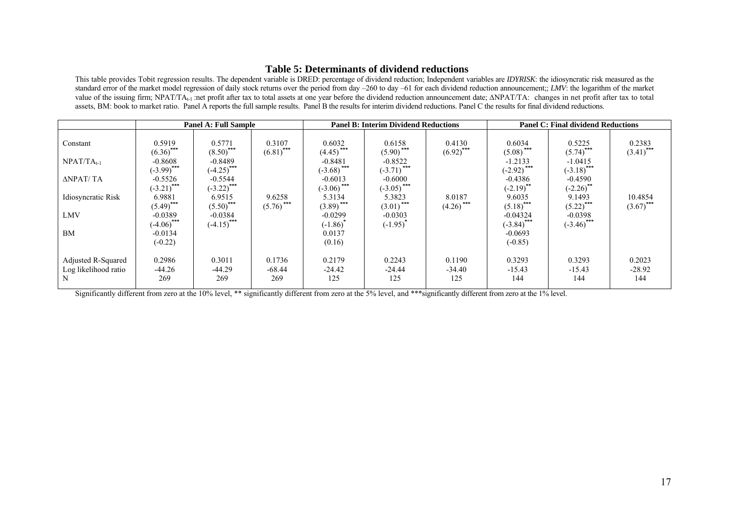#### **Table 5: Determinants of dividend reductions**

This table provides Tobit regression results. The dependent variable is DRED: percentage of dividend reduction; Independent variables are *IDYRISK*: the idiosyncratic risk measured as the standard error of the market model regression of daily stock returns over the period from day –260 to day –61 for each dividend reduction announcement;; *LMV*: the logarithm of the market value of the issuing firm; NPAT/TA<sub>t-1</sub> :net profit after tax to total assets at one year before the dividend reduction announcement date;  $\triangle NPATT/TA$ : changes in net profit after tax to total assets, BM: book to market ratio. Panel A reports the full sample results. Panel B the results for interim dividend reductions. Panel C the results for final dividend reductions.

|                                                                            | <b>Panel A: Full Sample</b>                                                                                                                |                                                                                                                                             |                                                  |                                                                                                                                       | <b>Panel B: Interim Dividend Reductions</b>                                                                                          |                                                             | <b>Panel C: Final dividend Reductions</b>                                                                                                  |                                                                                                                                           |                                                   |  |
|----------------------------------------------------------------------------|--------------------------------------------------------------------------------------------------------------------------------------------|---------------------------------------------------------------------------------------------------------------------------------------------|--------------------------------------------------|---------------------------------------------------------------------------------------------------------------------------------------|--------------------------------------------------------------------------------------------------------------------------------------|-------------------------------------------------------------|--------------------------------------------------------------------------------------------------------------------------------------------|-------------------------------------------------------------------------------------------------------------------------------------------|---------------------------------------------------|--|
| Constant<br>$NPATH_{t-1}$<br>ΔΝΡΑΤ/ ΤΑ<br>Idiosyncratic Risk<br><b>LMV</b> | 0.5919<br>$(6.36)$ ***<br>$-0.8608$<br>$(-3.99)$ ***<br>$-0.5526$<br>$(-3.21)$ ***<br>6.9881<br>$(5.49)$ ***<br>$-0.0389$<br>$(-4.06)$ *** | 0.5771<br>$(.8.50)$ ***<br>$-0.8489$<br>$(-4.25)$ ***<br>$-0.5544$<br>$(-3.22)$ ***<br>6.9515<br>$(5.50)$ ***<br>$-0.0384$<br>$(-4.15)$ *** | 0.3107<br>$(6.81)$ ***<br>9.6258<br>$(5.76)$ *** | 0.6032<br>***<br>(4.45)<br>$-0.8481$<br>$(-3.68)$ ***<br>$-0.6013$<br>$(-3.06)$ <sup>***</sup><br>5.3134<br>$(3.89)$ ***<br>$-0.0299$ | 0.6158<br>$(5.90)$ <sup>***</sup><br>$-0.8522$<br>$(-3.71)$ ***<br>$-0.6000$<br>$(-3.05)$ ***<br>5.3823<br>$(3.01)$ ***<br>$-0.0303$ | 0.4130<br>$(6.92)$ ***<br>8.0187<br>$(4.26)$ <sup>***</sup> | 0.6034<br>$(5.08)$ ***<br>$-1.2133$<br>$(-2.92)$ ***<br>$-0.4386$<br>$(-2.19)$ **<br>9.6035<br>$(5.18)$ ***<br>$-0.04324$<br>$(-3.84)$ *** | 0.5225<br>$(5.74)$ ***<br>$-1.0415$<br>$(-3.18)$ ***<br>$-0.4590$<br>$(-2.26)$ **<br>9.1493<br>$(5.22)$ ***<br>$-0.0398$<br>$(-3.46)$ *** | 0.2383<br>$(3.41)$ ***<br>10.4854<br>$(3.67)$ *** |  |
| <b>BM</b>                                                                  | $-0.0134$<br>$(-0.22)$                                                                                                                     |                                                                                                                                             |                                                  | $(-1.86)^*$<br>0.0137<br>(0.16)                                                                                                       | $(-1.95)^{4}$                                                                                                                        |                                                             | $-0.0693$<br>$(-0.85)$                                                                                                                     |                                                                                                                                           |                                                   |  |
| Adjusted R-Squared<br>Log likelihood ratio<br>N                            | 0.2986<br>$-44.26$<br>269                                                                                                                  | 0.3011<br>$-44.29$<br>269                                                                                                                   | 0.1736<br>$-68.44$<br>269                        | 0.2179<br>$-24.42$<br>125                                                                                                             | 0.2243<br>$-24.44$<br>125                                                                                                            | 0.1190<br>$-34.40$<br>125                                   | 0.3293<br>$-15.43$<br>144                                                                                                                  | 0.3293<br>$-15.43$<br>144                                                                                                                 | 0.2023<br>$-28.92$<br>144                         |  |

Significantly different from zero at the 10% level, \*\* significantly different from zero at the 5% level, and \*\*\* significantly different from zero at the 1% level.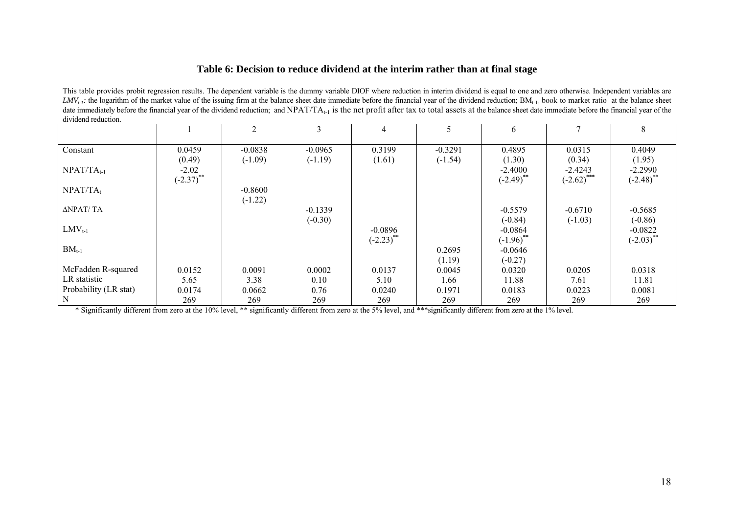### **Table 6: Decision to reduce dividend at the interim rather than at final stage**

This table provides probit regression results. The dependent variable is the dummy variable DIOF where reduction in interim dividend is equal to one and zero otherwise. Independent variables are  $LMV_{t-1}$ : the logarithm of the market value of the issuing firm at the balance sheet date immediate before the financial year of the dividend reduction;  $BM_{t-1}$  book to market ratio at the balance sheet date immediately before the financial year of the dividend reduction; and  $NPAT/TA_{t-1}$  is the net profit after tax to total assets at the balance sheet date immediate before the financial year of the dividend reduction.

|                       |              | 2         | 3         | 4            |           | 6            |               | 8                       |
|-----------------------|--------------|-----------|-----------|--------------|-----------|--------------|---------------|-------------------------|
|                       |              |           |           |              |           |              |               |                         |
| Constant              | 0.0459       | $-0.0838$ | $-0.0965$ | 0.3199       | $-0.3291$ | 0.4895       | 0.0315        | 0.4049                  |
|                       | (0.49)       | $(-1.09)$ | $(-1.19)$ | (1.61)       | $(-1.54)$ | (1.30)       | (0.34)        | (1.95)                  |
| $NPATH_{t-1}$         | $-2.02$      |           |           |              |           | $-2.4000$    | $-2.4243$     | $-2.2990$               |
|                       | $(-2.37)$ ** |           |           |              |           | $(-2.49)$ ** | $(-2.62)$ *** | $(-2.48)$ <sup>**</sup> |
| $NPATH_t$             |              | $-0.8600$ |           |              |           |              |               |                         |
|                       |              | $(-1.22)$ |           |              |           |              |               |                         |
| ΔNPAT/ TA             |              |           | $-0.1339$ |              |           | $-0.5579$    | $-0.6710$     | $-0.5685$               |
|                       |              |           | $(-0.30)$ |              |           | $(-0.84)$    | $(-1.03)$     | $(-0.86)$               |
| $LMV_{t-1}$           |              |           |           | $-0.0896$    |           | $-0.0864$    |               | $-0.0822$               |
|                       |              |           |           | $(-2.23)$ ** |           | $(-1.96)$ ** |               | $(-2.03)$ **            |
| $BM_{t-1}$            |              |           |           |              | 0.2695    | $-0.0646$    |               |                         |
|                       |              |           |           |              | (1.19)    | $(-0.27)$    |               |                         |
| McFadden R-squared    | 0.0152       | 0.0091    | 0.0002    | 0.0137       | 0.0045    | 0.0320       | 0.0205        | 0.0318                  |
| LR statistic          | 5.65         | 3.38      | 0.10      | 5.10         | 1.66      | 11.88        | 7.61          | 11.81                   |
| Probability (LR stat) | 0.0174       | 0.0662    | 0.76      | 0.0240       | 0.1971    | 0.0183       | 0.0223        | 0.0081                  |
| N                     | 269          | 269       | 269       | 269          | 269       | 269          | 269           | 269                     |

\* Significantly different from zero at the 10% level, \*\* significantly different from zero at the 5% level, and \*\*\*significantly different from zero at the 1% level.